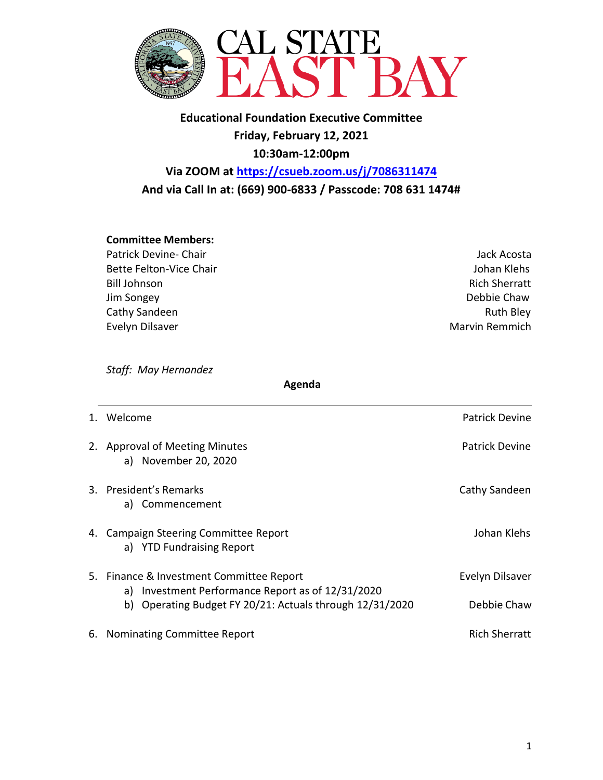

**Educational Foundation Executive Committee Friday, February 12, 2021 10:30am-12:00pm**

**Via ZOOM at https://csueb.zoom.us/j/7086311474 And via Call In at: (669) 900-6833 / Passcode: 708 631 1474#**

## **Committee Members:**

- Patrick Devine- Chair **Value 2018** and 2018 and 2019 and 2019 and 30 and 30 and 30 and 30 and 30 and 30 and 30 and 30 and 30 and 30 and 30 and 30 and 30 and 30 and 30 and 30 and 30 and 30 and 30 and 30 and 30 and 30 and 30 Bette Felton-Vice Chair **Johan Klehs** Johan Klehs Bill Johnson Rich Sherratt Jim Songey Debbie Chaw Cathy Sandeen **Ruth Bley** Evelyn Dilsaver **Marvin Remmich**
- 

*Staff: May Hernandez* 

 **Agenda**

| 1. Welcome                                                                                    | <b>Patrick Devine</b> |
|-----------------------------------------------------------------------------------------------|-----------------------|
| 2. Approval of Meeting Minutes<br>a) November 20, 2020                                        | <b>Patrick Devine</b> |
| 3. President's Remarks<br>a) Commencement                                                     | Cathy Sandeen         |
| 4. Campaign Steering Committee Report<br>a) YTD Fundraising Report                            | Johan Klehs           |
| 5. Finance & Investment Committee Report<br>a) Investment Performance Report as of 12/31/2020 | Evelyn Dilsaver       |
| b) Operating Budget FY 20/21: Actuals through 12/31/2020                                      | Debbie Chaw           |
| 6. Nominating Committee Report                                                                | <b>Rich Sherratt</b>  |